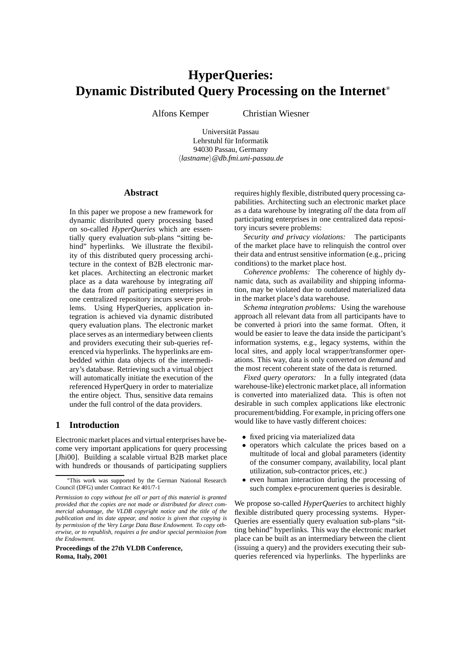# **HyperQueries: Dynamic Distributed Query Processing on the Internet**<sup>∗</sup>

Alfons Kemper Christian Wiesner

Universität Passau Lehrstuhl für Informatik 94030 Passau, Germany h*lastname*i*@db.fmi.uni-passau.de*

# **Abstract**

In this paper we propose a new framework for dynamic distributed query processing based on so-called *HyperQueries* which are essentially query evaluation sub-plans "sitting behind" hyperlinks. We illustrate the flexibility of this distributed query processing architecture in the context of B2B electronic market places. Architecting an electronic market place as a data warehouse by integrating *all* the data from *all* participating enterprises in one centralized repository incurs severe problems. Using HyperQueries, application integration is achieved via dynamic distributed query evaluation plans. The electronic market place serves as an intermediary between clients and providers executing their sub-queries referenced via hyperlinks. The hyperlinks are embedded within data objects of the intermediary's database. Retrieving such a virtual object will automatically initiate the execution of the referenced HyperQuery in order to materialize the entire object. Thus, sensitive data remains under the full control of the data providers.

# **1 Introduction**

Electronic market places and virtual enterprises have become very important applications for query processing [Jhi00]. Building a scalable virtual B2B market place with hundreds or thousands of participating suppliers

**Proceedings of the 27th VLDB Conference, Roma, Italy, 2001**

requires highly flexible, distributed query processing capabilities. Architecting such an electronic market place as a data warehouse by integrating *all* the data from *all* participating enterprises in one centralized data repository incurs severe problems:

*Security and privacy violations:* The participants of the market place have to relinquish the control over their data and entrust sensitive information (e.g., pricing conditions) to the market place host.

*Coherence problems:* The coherence of highly dynamic data, such as availability and shipping information, may be violated due to outdated materialized data in the market place's data warehouse.

*Schema integration problems:* Using the warehouse approach all relevant data from all participants have to be converted à priori into the same format. Often, it would be easier to leave the data inside the participant's information systems, e.g., legacy systems, within the local sites, and apply local wrapper/transformer operations. This way, data is only converted *on demand* and the most recent coherent state of the data is returned.

*Fixed query operators:* In a fully integrated (data warehouse-like) electronic market place, all information is converted into materialized data. This is often not desirable in such complex applications like electronic procurement/bidding. For example, in pricing offers one would like to have vastly different choices:

- fixed pricing via materialized data<br>• operators which calculate the pri
- operators which calculate the prices based on a multitude of local and global parameters (identity of the consumer company, availability, local plant utilization, sub-contractor prices, etc.)
- even human interaction during the processing of such complex e-procurement queries is desirable.

We propose so-called *HyperQueries* to architect highly flexible distributed query processing systems. Hyper-Queries are essentially query evaluation sub-plans "sitting behind" hyperlinks. This way the electronic market place can be built as an intermediary between the client (issuing a query) and the providers executing their subqueries referenced via hyperlinks. The hyperlinks are

<sup>∗</sup>This work was supported by the German National Research Council (DFG) under Contract Ke 401/7-1

*Permission to copy without fee all or part of this material is granted provided that the copies are not made or distributed for direct commercial advantage, the VLDB copyright notice and the title of the publication and its date appear, and notice is given that copying is by permission of the Very Large Data Base Endowment. To copy otherwise, or to republish, requires a fee and/or special permission from the Endowment.*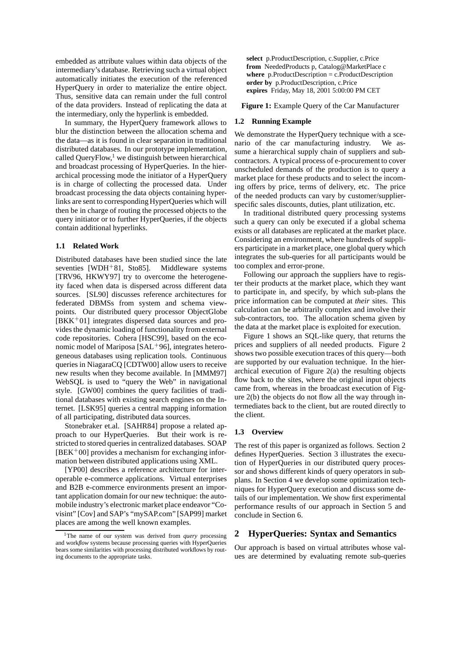embedded as attribute values within data objects of the intermediary's database. Retrieving such a virtual object automatically initiates the execution of the referenced HyperQuery in order to materialize the entire object. Thus, sensitive data can remain under the full control of the data providers. Instead of replicating the data at the intermediary, only the hyperlink is embedded.

In summary, the HyperQuery framework allows to blur the distinction between the allocation schema and the data—as it is found in clear separation in traditional distributed databases. In our prototype implementation, called OueryFlow, $<sup>1</sup>$  we distinguish between hierarchical</sup> and broadcast processing of HyperQueries. In the hierarchical processing mode the initiator of a HyperQuery is in charge of collecting the processed data. Under broadcast processing the data objects containing hyperlinks are sent to corresponding HyperQueries which will then be in charge of routing the processed objects to the query initiator or to further HyperQueries, if the objects contain additional hyperlinks.

#### **1.1 Related Work**

Distributed databases have been studied since the late seventies [WDH<sup>+</sup>81, Sto85]. Middleware systems [TRV96, HKWY97] try to overcome the heterogeneity faced when data is dispersed across different data sources. [SL90] discusses reference architectures for federated DBMSs from system and schema viewpoints. Our distributed query processor ObjectGlobe  $[BKK^+01]$  integrates dispersed data sources and provides the dynamic loading of functionality from external code repositories. Cohera [HSC99], based on the economic model of Mariposa  $[SAL+96]$ , integrates heterogeneous databases using replication tools. Continuous queries in NiagaraCQ [CDTW00] allow users to receive new results when they become available. In [MMM97] WebSQL is used to "query the Web" in navigational style. [GW00] combines the query facilities of traditional databases with existing search engines on the Internet. [LSK95] queries a central mapping information of all participating, distributed data sources.

Stonebraker et.al. [SAHR84] propose a related approach to our HyperQueries. But their work is restricted to stored queries in centralized databases. SOAP  $[BEK<sup>+</sup>00]$  provides a mechanism for exchanging information between distributed applications using XML.

[YP00] describes a reference architecture for interoperable e-commerce applications. Virtual enterprises and B2B e-commerce environments present an important application domain for our new technique: the automobile industry's electronic market place endeavor "Covisint" [Cov] and SAP's "mySAP.com" [SAP99] market places are among the well known examples.

**select** p.ProductDescription, c.Supplier, c.Price **from** NeededProducts p, Catalog@MarketPlace c **where** p.ProductDescription = c.ProductDescription **order by** p.ProductDescription, c.Price **expires** Friday, May 18, 2001 5:00:00 PM CET

**Figure 1:** Example Query of the Car Manufacturer

#### **1.2 Running Example**

We demonstrate the HyperQuery technique with a scenario of the car manufacturing industry. We assume a hierarchical supply chain of suppliers and subcontractors. A typical process of e-procurement to cover unscheduled demands of the production is to query a market place for these products and to select the incoming offers by price, terms of delivery, etc. The price of the needed products can vary by customer/supplierspecific sales discounts, duties, plant utilization, etc.

In traditional distributed query processing systems such a query can only be executed if a global schema exists or all databases are replicated at the market place. Considering an environment, where hundreds of suppliers participate in a market place, one global query which integrates the sub-queries for all participants would be too complex and error-prone.

Following our approach the suppliers have to register their products at the market place, which they want to participate in, and specify, by which sub-plans the price information can be computed at *their* sites. This calculation can be arbitrarily complex and involve their sub-contractors, too. The allocation schema given by the data at the market place is exploited for execution.

Figure 1 shows an SQL-like query, that returns the prices and suppliers of all needed products. Figure 2 shows two possible execution traces of this query—both are supported by our evaluation technique. In the hierarchical execution of Figure 2(a) the resulting objects flow back to the sites, where the original input objects came from, whereas in the broadcast execution of Figure 2(b) the objects do not flow all the way through intermediates back to the client, but are routed directly to the client.

## **1.3 Overview**

The rest of this paper is organized as follows. Section 2 defines HyperQueries. Section 3 illustrates the execution of HyperQueries in our distributed query processor and shows different kinds of query operators in subplans. In Section 4 we develop some optimization techniques for HyperQuery execution and discuss some details of our implementation. We show first experimental performance results of our approach in Section 5 and conclude in Section 6.

# **2 HyperQueries: Syntax and Semantics**

Our approach is based on virtual attributes whose values are determined by evaluating remote sub-queries

<sup>&</sup>lt;sup>1</sup>The name of our system was derived from *query* processing and work*flow* systems because processing queries with HyperQueries bears some similarities with processing distributed workflows by routing documents to the appropriate tasks.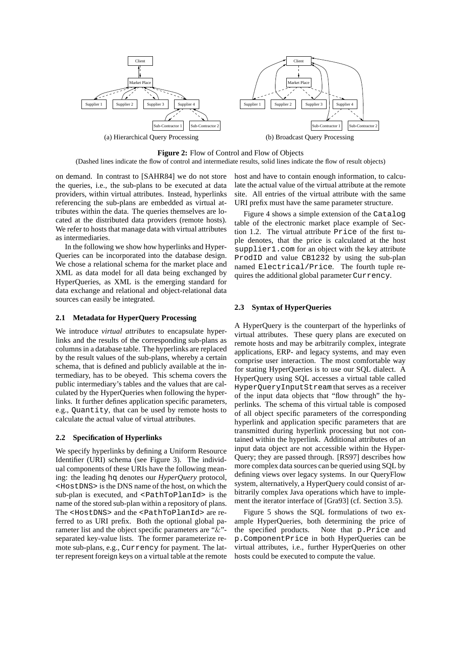

**Figure 2:** Flow of Control and Flow of Objects

(Dashed lines indicate the flow of control and intermediate results, solid lines indicate the flow of result objects)

on demand. In contrast to [SAHR84] we do not store the queries, i.e., the sub-plans to be executed at data providers, within virtual attributes. Instead, hyperlinks referencing the sub-plans are embedded as virtual attributes within the data. The queries themselves are located at the distributed data providers (remote hosts). We refer to hosts that manage data with virtual attributes as intermediaries.

In the following we show how hyperlinks and Hyper-Queries can be incorporated into the database design. We chose a relational schema for the market place and XML as data model for all data being exchanged by HyperQueries, as XML is the emerging standard for data exchange and relational and object-relational data sources can easily be integrated.

# **2.1 Metadata for HyperQuery Processing**

We introduce *virtual attributes* to encapsulate hyperlinks and the results of the corresponding sub-plans as columns in a database table. The hyperlinks are replaced by the result values of the sub-plans, whereby a certain schema, that is defined and publicly available at the intermediary, has to be obeyed. This schema covers the public intermediary's tables and the values that are calculated by the HyperQueries when following the hyperlinks. It further defines application specific parameters, e.g., Quantity, that can be used by remote hosts to calculate the actual value of virtual attributes.

#### **2.2 Specification of Hyperlinks**

We specify hyperlinks by defining a Uniform Resource Identifier (URI) schema (see Figure 3). The individual components of these URIs have the following meaning: the leading hq denotes our *HyperQuery* protocol, <HostDNS> is the DNS name of the host, on which the sub-plan is executed, and <PathToPlanId> is the name of the stored sub-plan within a repository of plans. The <HostDNS> and the <PathToPlanId> are referred to as URI prefix. Both the optional global parameter list and the object specific parameters are "&" separated key-value lists. The former parameterize remote sub-plans, e.g., Currency for payment. The latter represent foreign keys on a virtual table at the remote host and have to contain enough information, to calculate the actual value of the virtual attribute at the remote site. All entries of the virtual attribute with the same URI prefix must have the same parameter structure.

Figure 4 shows a simple extension of the Catalog table of the electronic market place example of Section 1.2. The virtual attribute Price of the first tuple denotes, that the price is calculated at the host supplier1.com for an object with the key attribute ProdID and value CB1232 by using the sub-plan named Electrical/Price. The fourth tuple requires the additional global parameter Currency.

# **2.3 Syntax of HyperQueries**

A HyperQuery is the counterpart of the hyperlinks of virtual attributes. These query plans are executed on remote hosts and may be arbitrarily complex, integrate applications, ERP- and legacy systems, and may even comprise user interaction. The most comfortable way for stating HyperQueries is to use our SQL dialect. A HyperQuery using SQL accesses a virtual table called HyperQueryInputStream that serves as a receiver of the input data objects that "flow through" the hyperlinks. The schema of this virtual table is composed of all object specific parameters of the corresponding hyperlink and application specific parameters that are transmitted during hyperlink processing but not contained within the hyperlink. Additional attributes of an input data object are not accessible within the Hyper-Query; they are passed through. [RS97] describes how more complex data sources can be queried using SQL by defining views over legacy systems. In our QueryFlow system, alternatively, a HyperQuery could consist of arbitrarily complex Java operations which have to implement the iterator interface of [Gra93] (cf. Section 3.5).

Figure 5 shows the SQL formulations of two example HyperQueries, both determining the price of the specified products. Note that p.Price and p.ComponentPrice in both HyperQueries can be virtual attributes, i.e., further HyperQueries on other hosts could be executed to compute the value.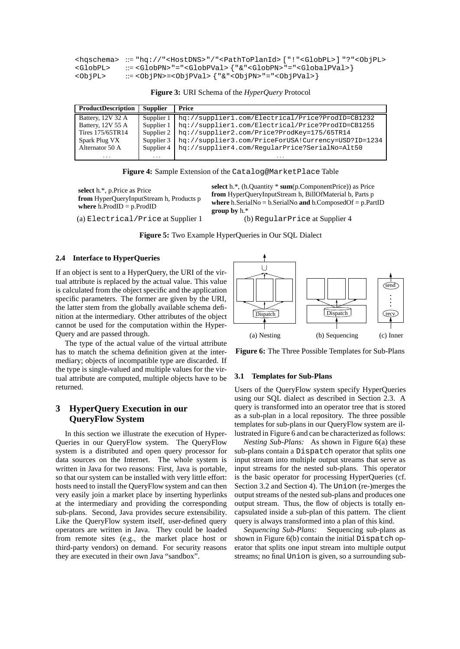|                   | <hqschema> ::= "hq://"<hostdns>"/"<pathtoplanid> ["!"<globpl>]"?"<objpl></objpl></globpl></pathtoplanid></hostdns></hqschema> |
|-------------------|-------------------------------------------------------------------------------------------------------------------------------|
| <globpl></globpl> | ::= <globpn> "="<globpval> { "&amp;" <globpn> " = " <globalpval> }</globalpval></globpn></globpval></globpn>                  |
| <obipl></obipl>   | ::= <objpn>=<objpval> {            "&amp;"<objpn>                "="<objpval>        }</objpval></objpn></objpval></objpn>    |

**Figure 3:** URI Schema of the *HyperQuery* Protocol

| <b>ProductDescription</b> | <b>Supplier</b> | Price                                               |
|---------------------------|-----------------|-----------------------------------------------------|
| Battery, 12V 32 A         | Supplier 1      | hq://supplier1.com/Electrical/Price?ProdID=CB1232   |
| Battery, 12V 55 A         | Supplier 1      | hq://supplier1.com/Electrical/Price?ProdID=CB1255   |
| Tires 175/65TR14          | Supplier 2      | hq://supplier2.com/Price?ProdKey=175/65TR14         |
| Spark Plug VX             | Supplier 3      | hq://supplier3.com/PriceForUSA!Currency=USD?ID=1234 |
| Alternator 50 A           | Supplier 4      | hq://supplier4.com/RegularPrice?SerialNo=Alt50      |
| $\cdots$                  | $\cdots$        |                                                     |

**Figure 4:** Sample Extension of the Catalog@MarketPlace Table

**select** h.\*, p.Price as Price **from** HyperQueryInputStream h, Products p **where** h.ProdID = p.ProdID

(a) Electrical/Price at Supplier 1 (b) RegularPrice at Supplier 4

**select** h.\*, (h.Quantity \* **sum**(p.ComponentPrice)) as Price **from** HyperQueryInputStream h, BillOfMaterial b, Parts p **where** h.SerialNo = b.SerialNo **and** b.ComposedOf = p.PartID **group by** h.\*

**Figure 5:** Two Example HyperQueries in Our SQL Dialect

# **2.4 Interface to HyperQueries**

If an object is sent to a HyperQuery, the URI of the virtual attribute is replaced by the actual value. This value is calculated from the object specific and the application specific parameters. The former are given by the URI, the latter stem from the globally available schema definition at the intermediary. Other attributes of the object cannot be used for the computation within the Hyper-Query and are passed through.

The type of the actual value of the virtual attribute has to match the schema definition given at the intermediary; objects of incompatible type are discarded. If the type is single-valued and multiple values for the virtual attribute are computed, multiple objects have to be returned.

# **3 HyperQuery Execution in our QueryFlow System**

In this section we illustrate the execution of Hyper-Queries in our QueryFlow system. The QueryFlow system is a distributed and open query processor for data sources on the Internet. The whole system is written in Java for two reasons: First, Java is portable, so that our system can be installed with very little effort: hosts need to install the QueryFlow system and can then very easily join a market place by inserting hyperlinks at the intermediary and providing the corresponding sub-plans. Second, Java provides secure extensibility. Like the QueryFlow system itself, user-defined query operators are written in Java. They could be loaded from remote sites (e.g., the market place host or third-party vendors) on demand. For security reasons they are executed in their own Java "sandbox".



**Figure 6:** The Three Possible Templates for Sub-Plans

#### **3.1 Templates for Sub-Plans**

Users of the QueryFlow system specify HyperQueries using our SQL dialect as described in Section 2.3. A query is transformed into an operator tree that is stored as a sub-plan in a local repository. The three possible templates for sub-plans in our QueryFlow system are illustrated in Figure 6 and can be characterized as follows:

*Nesting Sub-Plans:* As shown in Figure 6(a) these sub-plans contain a Dispatch operator that splits one input stream into multiple output streams that serve as input streams for the nested sub-plans. This operator is the basic operator for processing HyperQueries (cf. Section 3.2 and Section 4). The Union (re-)merges the output streams of the nested sub-plans and produces one output stream. Thus, the flow of objects is totally encapsulated inside a sub-plan of this pattern. The client query is always transformed into a plan of this kind.

*Sequencing Sub-Plans:* Sequencing sub-plans as shown in Figure 6(b) contain the initial Dispatch operator that splits one input stream into multiple output streams; no final Union is given, so a surrounding sub-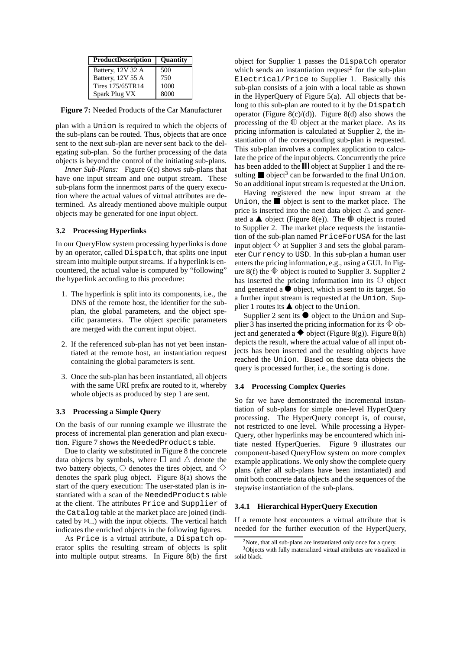| <b>ProductDescription</b> | <b>Ouantity</b> |
|---------------------------|-----------------|
| Battery, 12V 32 A         | 500             |
| Battery, 12V 55 A         | 750             |
| Tires 175/65TR14          | 1000            |
| Spark Plug VX             | 8000            |

**Figure 7:** Needed Products of the Car Manufacturer

plan with a Union is required to which the objects of the sub-plans can be routed. Thus, objects that are once sent to the next sub-plan are never sent back to the delegating sub-plan. So the further processing of the data objects is beyond the control of the initiating sub-plans.

*Inner Sub-Plans:* Figure 6(c) shows sub-plans that have one input stream and one output stream. These sub-plans form the innermost parts of the query execution where the actual values of virtual attributes are determined. As already mentioned above multiple output objects may be generated for one input object.

#### **3.2 Processing Hyperlinks**

In our QueryFlow system processing hyperlinks is done by an operator, called Dispatch, that splits one input stream into multiple output streams. If a hyperlink is encountered, the actual value is computed by "following" the hyperlink according to this procedure:

- 1. The hyperlink is split into its components, i.e., the DNS of the remote host, the identifier for the subplan, the global parameters, and the object specific parameters. The object specific parameters are merged with the current input object.
- 2. If the referenced sub-plan has not yet been instantiated at the remote host, an instantiation request containing the global parameters is sent.
- 3. Once the sub-plan has been instantiated, all objects with the same URI prefix are routed to it, whereby whole objects as produced by step 1 are sent.

#### **3.3 Processing a Simple Query**

On the basis of our running example we illustrate the process of incremental plan generation and plan execution. Figure 7 shows the NeededProducts table.

Due to clarity we substituted in Figure 8 the concrete data objects by symbols, where  $\Box$  and  $\triangle$  denote the two battery objects,  $\bigcirc$  denotes the tires object, and  $\Diamond$ denotes the spark plug object. Figure 8(a) shows the start of the query execution: The user-stated plan is instantiated with a scan of the NeededProducts table at the client. The attributes Price and Supplier of the Catalog table at the market place are joined (indicated by  $\mathbb{M}_{\infty}$ ) with the input objects. The vertical hatch indicates the enriched objects in the following figures.

As Price is a virtual attribute, a Dispatch operator splits the resulting stream of objects is split into multiple output streams. In Figure 8(b) the first object for Supplier 1 passes the Dispatch operator which sends an instantiation request<sup>2</sup> for the sub-plan Electrical/Price to Supplier 1. Basically this sub-plan consists of a join with a local table as shown in the HyperQuery of Figure 5(a). All objects that belong to this sub-plan are routed to it by the Dispatch operator (Figure 8(c)/(d)). Figure 8(d) also shows the processing of the  $\mathbb D$  object at the market place. As its pricing information is calculated at Supplier 2, the instantiation of the corresponding sub-plan is requested. This sub-plan involves a complex application to calculate the price of the input objects. Concurrently the price has been added to the  $\mathbb I \mathbb I$  object at Supplier 1 and the resulting object<sup>3</sup> can be forwarded to the final Union. So an additional input stream is requested at the Union.

Having registered the new input stream at the Union, the object is sent to the market place. The price is inserted into the next data object  $\mathbb A$  and generated a  $\blacktriangle$  object (Figure 8(e)). The  $\mathbb D$  object is routed to Supplier 2. The market place requests the instantiation of the sub-plan named PriceForUSA for the last input object  $\mathbb \Phi$  at Supplier 3 and sets the global parameter Currency to USD. In this sub-plan a human user enters the pricing information, e.g., using a GUI. In Figure 8(f) the  $\mathbb \Phi$  object is routed to Supplier 3. Supplier 2 has inserted the pricing information into its  $\mathbb O$  object and generated a  $\bullet$  object, which is sent to its target. So a further input stream is requested at the Union. Supplier 1 routes its  $\triangle$  object to the Union.

Supplier 2 sent its  $\bullet$  object to the Union and Supplier 3 has inserted the pricing information for its  $\mathbb \Phi$  object and generated a  $\blacklozenge$  object (Figure 8(g)). Figure 8(h) depicts the result, where the actual value of all input objects has been inserted and the resulting objects have reached the Union. Based on these data objects the query is processed further, i.e., the sorting is done.

## **3.4 Processing Complex Queries**

So far we have demonstrated the incremental instantiation of sub-plans for simple one-level HyperQuery processing. The HyperQuery concept is, of course, not restricted to one level. While processing a Hyper-Query, other hyperlinks may be encountered which initiate nested HyperQueries. Figure 9 illustrates our component-based QueryFlow system on more complex example applications. We only show the complete query plans (after all sub-plans have been instantiated) and omit both concrete data objects and the sequences of the stepwise instantiation of the sub-plans.

#### **3.4.1 Hierarchical HyperQuery Execution**

If a remote host encounters a virtual attribute that is needed for the further execution of the HyperQuery,

 $2$ Note, that all sub-plans are instantiated only once for a query.

<sup>&</sup>lt;sup>3</sup>Objects with fully materialized virtual attributes are visualized in solid black.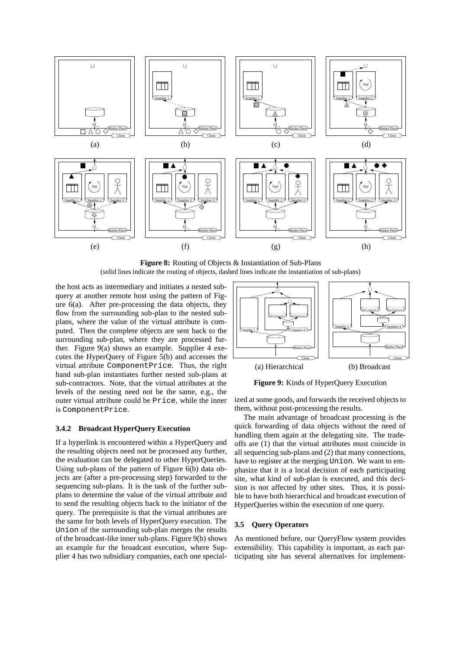

**Figure 8:** Routing of Objects & Instantiation of Sub-Plans (solid lines indicate the routing of objects, dashed lines indicate the instantiation of sub-plans)

the host acts as intermediary and initiates a nested subquery at another remote host using the pattern of Figure 6(a). After pre-processing the data objects, they flow from the surrounding sub-plan to the nested subplans, where the value of the virtual attribute is computed. Then the complete objects are sent back to the surrounding sub-plan, where they are processed further. Figure 9(a) shows an example. Supplier 4 executes the HyperQuery of Figure 5(b) and accesses the virtual attribute ComponentPrice. Thus, the right hand sub-plan instantiates further nested sub-plans at sub-contractors. Note, that the virtual attributes at the levels of the nesting need not be the same, e.g., the outer virtual attribute could be Price, while the inner is ComponentPrice.



**Figure 9:** Kinds of HyperQuery Execution

ized at some goods, and forwards the received objects to them, without post-processing the results.

The main advantage of broadcast processing is the quick forwarding of data objects without the need of handling them again at the delegating site. The tradeoffs are (1) that the virtual attributes must coincide in all sequencing sub-plans and (2) that many connections, have to register at the merging Union. We want to emphasize that it is a local decision of each participating site, what kind of sub-plan is executed, and this decision is not affected by other sites. Thus, it is possible to have both hierarchical and broadcast execution of HyperQueries within the execution of one query.

## **3.5 Query Operators**

As mentioned before, our QueryFlow system provides extensibility. This capability is important, as each participating site has several alternatives for implement-

# **3.4.2 Broadcast HyperQuery Execution**

If a hyperlink is encountered within a HyperQuery and the resulting objects need not be processed any further, the evaluation can be delegated to other HyperQueries. Using sub-plans of the pattern of Figure 6(b) data objects are (after a pre-processing step) forwarded to the sequencing sub-plans. It is the task of the further subplans to determine the value of the virtual attribute and to send the resulting objects back to the initiator of the query. The prerequisite is that the virtual attributes are the same for both levels of HyperQuery execution. The Union of the surrounding sub-plan merges the results of the broadcast-like inner sub-plans. Figure 9(b) shows an example for the broadcast execution, where Supplier 4 has two subsidiary companies, each one special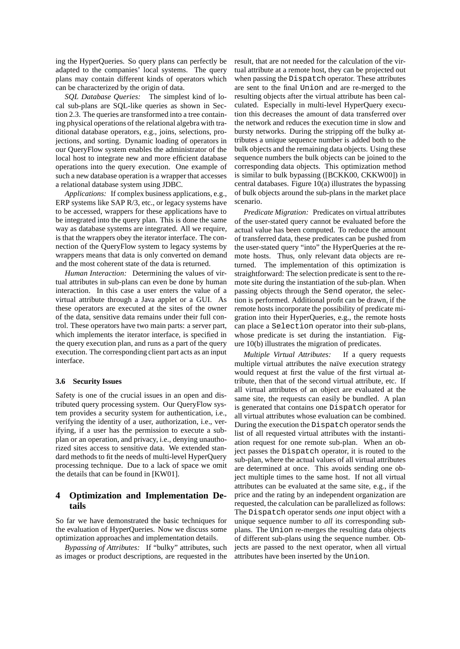ing the HyperQueries. So query plans can perfectly be adapted to the companies' local systems. The query plans may contain different kinds of operators which can be characterized by the origin of data.

*SQL Database Queries:* The simplest kind of local sub-plans are SQL-like queries as shown in Section 2.3. The queries are transformed into a tree containing physical operations of the relational algebra with traditional database operators, e.g., joins, selections, projections, and sorting. Dynamic loading of operators in our QueryFlow system enables the administrator of the local host to integrate new and more efficient database operations into the query execution. One example of such a new database operation is a wrapper that accesses a relational database system using JDBC.

*Applications:* If complex business applications, e.g., ERP systems like SAP R/3, etc., or legacy systems have to be accessed, wrappers for these applications have to be integrated into the query plan. This is done the same way as database systems are integrated. All we require, is that the wrappers obey the iterator interface. The connection of the QueryFlow system to legacy systems by wrappers means that data is only converted on demand and the most coherent state of the data is returned.

*Human Interaction:* Determining the values of virtual attributes in sub-plans can even be done by human interaction. In this case a user enters the value of a virtual attribute through a Java applet or a GUI. As these operators are executed at the sites of the owner of the data, sensitive data remains under their full control. These operators have two main parts: a server part, which implements the iterator interface, is specified in the query execution plan, and runs as a part of the query execution. The corresponding client part acts as an input interface.

#### **3.6 Security Issues**

Safety is one of the crucial issues in an open and distributed query processing system. Our QueryFlow system provides a security system for authentication, i.e., verifying the identity of a user, authorization, i.e., verifying, if a user has the permission to execute a subplan or an operation, and privacy, i.e., denying unauthorized sites access to sensitive data. We extended standard methods to fit the needs of multi-level HyperQuery processing technique. Due to a lack of space we omit the details that can be found in [KW01].

# **4 Optimization and Implementation Details**

So far we have demonstrated the basic techniques for the evaluation of HyperQueries. Now we discuss some optimization approaches and implementation details.

*Bypassing of Attributes:* If "bulky" attributes, such as images or product descriptions, are requested in the

result, that are not needed for the calculation of the virtual attribute at a remote host, they can be projected out when passing the Dispatch operator. These attributes are sent to the final Union and are re-merged to the resulting objects after the virtual attribute has been calculated. Especially in multi-level HyperQuery execution this decreases the amount of data transferred over the network and reduces the execution time in slow and bursty networks. During the stripping off the bulky attributes a unique sequence number is added both to the bulk objects and the remaining data objects. Using these sequence numbers the bulk objects can be joined to the corresponding data objects. This optimization method is similar to bulk bypassing ([BCKK00, CKKW00]) in central databases. Figure 10(a) illustrates the bypassing of bulk objects around the sub-plans in the market place scenario.

*Predicate Migration:* Predicates on virtual attributes of the user-stated query cannot be evaluated before the actual value has been computed. To reduce the amount of transferred data, these predicates can be pushed from the user-stated query "into" the HyperQueries at the remote hosts. Thus, only relevant data objects are returned. The implementation of this optimization is straightforward: The selection predicate is sent to the remote site during the instantiation of the sub-plan. When passing objects through the Send operator, the selection is performed. Additional profit can be drawn, if the remote hosts incorporate the possibility of predicate migration into their HyperQueries, e.g., the remote hosts can place a Selection operator into their sub-plans, whose predicate is set during the instantiation. Figure 10(b) illustrates the migration of predicates.

*Multiple Virtual Attributes:* If a query requests multiple virtual attributes the naïve execution strategy would request at first the value of the first virtual attribute, then that of the second virtual attribute, etc. If all virtual attributes of an object are evaluated at the same site, the requests can easily be bundled. A plan is generated that contains one Dispatch operator for all virtual attributes whose evaluation can be combined. During the execution the Dispatch operator sends the list of all requested virtual attributes with the instantiation request for one remote sub-plan. When an object passes the Dispatch operator, it is routed to the sub-plan, where the actual values of all virtual attributes are determined at once. This avoids sending one object multiple times to the same host. If not all virtual attributes can be evaluated at the same site, e.g., if the price and the rating by an independent organization are requested, the calculation can be parallelized as follows: The Dispatch operator sends *one* input object with a unique sequence number to *all* its corresponding subplans. The Union re-merges the resulting data objects of different sub-plans using the sequence number. Objects are passed to the next operator, when all virtual attributes have been inserted by the Union.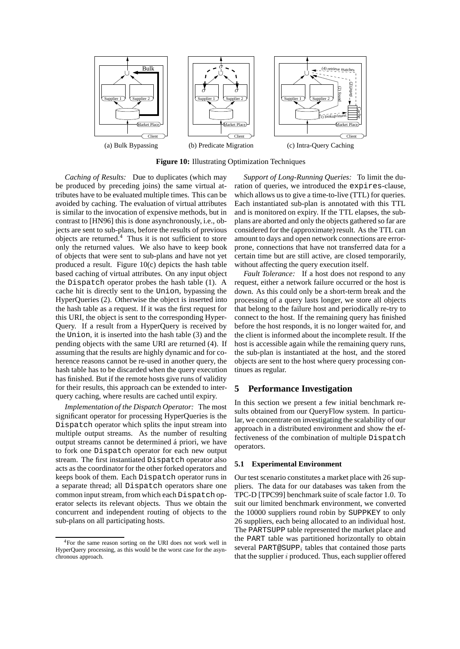

**Figure 10:** Illustrating Optimization Techniques

*Caching of Results:* Due to duplicates (which may be produced by preceding joins) the same virtual attributes have to be evaluated multiple times. This can be avoided by caching. The evaluation of virtual attributes is similar to the invocation of expensive methods, but in contrast to [HN96] this is done asynchronously, i.e., objects are sent to sub-plans, before the results of previous objects are returned. $4$  Thus it is not sufficient to store only the returned values. We also have to keep book of objects that were sent to sub-plans and have not yet produced a result. Figure 10(c) depicts the hash table based caching of virtual attributes. On any input object the Dispatch operator probes the hash table (1). A cache hit is directly sent to the Union, bypassing the HyperQueries (2). Otherwise the object is inserted into the hash table as a request. If it was the first request for this URI, the object is sent to the corresponding Hyper-Query. If a result from a HyperQuery is received by the Union, it is inserted into the hash table (3) and the pending objects with the same URI are returned (4). If assuming that the results are highly dynamic and for coherence reasons cannot be re-used in another query, the hash table has to be discarded when the query execution has finished. But if the remote hosts give runs of validity for their results, this approach can be extended to interquery caching, where results are cached until expiry.

*Implementation of the Dispatch Operator:* The most significant operator for processing HyperQueries is the Dispatch operator which splits the input stream into multiple output streams. As the number of resulting output streams cannot be determined á priori, we have to fork one Dispatch operator for each new output stream. The first instantiated Dispatch operator also acts as the coordinator for the other forked operators and keeps book of them. Each Dispatch operator runs in a separate thread; all Dispatch operators share one common input stream, from which each Dispatch operator selects its relevant objects. Thus we obtain the concurrent and independent routing of objects to the sub-plans on all participating hosts.

*Support of Long-Running Queries:* To limit the duration of queries, we introduced the expires-clause, which allows us to give a time-to-live (TTL) for queries. Each instantiated sub-plan is annotated with this TTL and is monitored on expiry. If the TTL elapses, the subplans are aborted and only the objects gathered so far are considered for the (approximate) result. As the TTL can amount to days and open network connections are errorprone, connections that have not transferred data for a certain time but are still active, are closed temporarily, without affecting the query execution itself.

*Fault Tolerance:* If a host does not respond to any request, either a network failure occurred or the host is down. As this could only be a short-term break and the processing of a query lasts longer, we store all objects that belong to the failure host and periodically re-try to connect to the host. If the remaining query has finished before the host responds, it is no longer waited for, and the client is informed about the incomplete result. If the host is accessible again while the remaining query runs, the sub-plan is instantiated at the host, and the stored objects are sent to the host where query processing continues as regular.

# **5 Performance Investigation**

In this section we present a few initial benchmark results obtained from our QueryFlow system. In particular, we concentrate on investigating the scalability of our approach in a distributed environment and show the effectiveness of the combination of multiple Dispatch operators.

## **5.1 Experimental Environment**

Our test scenario constitutes a market place with 26 suppliers. The data for our databases was taken from the TPC-D [TPC99] benchmark suite of scale factor 1.0. To suit our limited benchmark environment, we converted the 10000 suppliers round robin by SUPPKEY to only 26 suppliers, each being allocated to an individual host. The PARTSUPP table represented the market place and the PART table was partitioned horizontally to obtain several PART@SUPP<sub>i</sub> tables that contained those parts that the supplier  $i$  produced. Thus, each supplier offered

<sup>4</sup>For the same reason sorting on the URI does not work well in HyperQuery processing, as this would be the worst case for the asynchronous approach.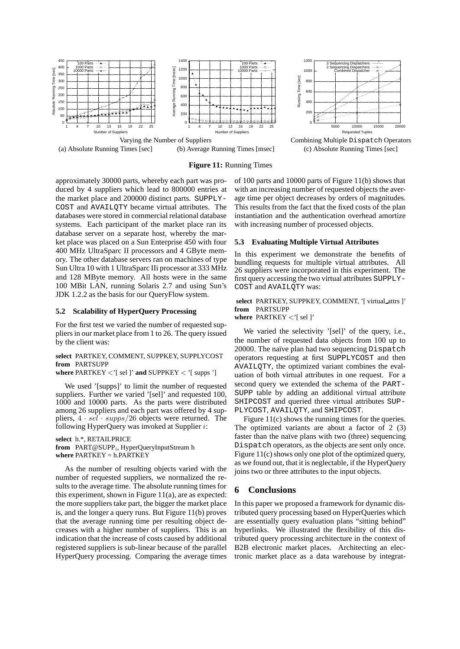





# **Figure 11:** Running Times

approximately 30000 parts, whereby each part was produced by 4 suppliers which lead to 800000 entries at the market place and 200000 distinct parts. SUPPLY-COST and AVAILQTY became virtual attributes. The databases were stored in commercial relational database systems. Each participant of the market place ran its database server on a separate host, whereby the market place was placed on a Sun Enterprise 450 with four 400 MHz UltraSparc II processors and 4 GByte memory. The other database servers ran on machines of type Sun Ultra 10 with 1 UltraSparc IIi processor at 333 MHz and 128 MByte memory. All hosts were in the same 100 MBit LAN, running Solaris 2.7 and using Sun's JDK 1.2.2 as the basis for our QueryFlow system.

#### **5.2 Scalability of HyperQuery Processing**

For the first test we varied the number of requested suppliers in our market place from 1 to 26. The query issued by the client was:

# **select** PARTKEY, COMMENT, SUPPKEY, SUPPLYCOST **from** PARTSUPP

**where**  $\text{PARTKEY}$  < '[ sel ]' **and**  $\text{SUPPKEY}$  < '[ supps ']

We used '[supps]' to limit the number of requested suppliers. Further we varied '[sel]' and requested 100, 1000 and 10000 parts. As the parts were distributed among 26 suppliers and each part was offered by 4 suppliers,  $4 \cdot$  sel  $\cdot$  supps/26 objects were returned. The following HyperQuery was invoked at Supplier  $i$ :

**select** h.\*, RETAILPRICE from PART@SUPP<sub>i</sub>, HyperQueryInputStream h **where** PARTKEY = h.PARTKEY

As the number of resulting objects varied with the number of requested suppliers, we normalized the results to the average time. The absolute running times for this experiment, shown in Figure 11(a), are as expected: the more suppliers take part, the bigger the market place is, and the longer a query runs. But Figure 11(b) proves that the average running time per resulting object decreases with a higher number of suppliers. This is an indication that the increase of costs caused by additional registered suppliers is sub-linear because of the parallel HyperQuery processing. Comparing the average times of 100 parts and 10000 parts of Figure 11(b) shows that with an increasing number of requested objects the average time per object decreases by orders of magnitudes. This results from the fact that the fixed costs of the plan instantiation and the authentication overhead amortize with increasing number of processed objects.

#### **5.3 Evaluating Multiple Virtual Attributes**

In this experiment we demonstrate the benefits of bundling requests for multiple virtual attributes. All 26 suppliers were incorporated in this experiment. The first query accessing the two virtual attributes SUPPLY-COST and AVAILQTY was:

**select** PARTKEY, SUPPKEY, COMMENT, '[ virtual attrs ]' **from** PARTSUPP **where** PARTKEY  $\lt'$  [sel ]'

We varied the selectivity '[sel]' of the query, i.e., the number of requested data objects from 100 up to 20000. The naïve plan had two sequencing Dispatch operators requesting at first SUPPLYCOST and then AVAILQTY, the optimized variant combines the evaluation of both virtual attributes in one request. For a second query we extended the schema of the PART-SUPP table by adding an additional virtual attribute SHIPCOST and queried three virtual attributes SUP-PLYCOST, AVAILQTY, and SHIPCOST.

Figure 11(c) shows the running times for the queries. The optimized variants are about a factor of 2 (3) faster than the naïve plans with two (three) sequencing Dispatch operators, as the objects are sent only once. Figure 11(c) shows only one plot of the optimized query, as we found out, that it is neglectable, if the HyperQuery joins two or three attributes to the input objects.

## **6 Conclusions**

In this paper we proposed a framework for dynamic distributed query processing based on HyperQueries which are essentially query evaluation plans "sitting behind" hyperlinks. We illustrated the flexibility of this distributed query processing architecture in the context of B2B electronic market places. Architecting an electronic market place as a data warehouse by integrat